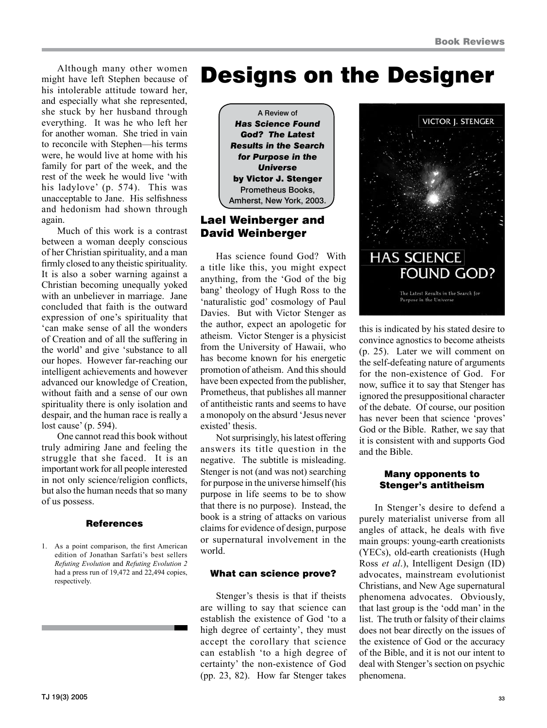Although many other women might have left Stephen because of his intolerable attitude toward her, and especially what she represented, she stuck by her husband through everything. It was he who left her for another woman. She tried in vain to reconcile with Stephen—his terms were, he would live at home with his family for part of the week, and the rest of the week he would live 'with his ladylove' (p. 574). This was unacceptable to Jane. His selfishness and hedonism had shown through again.

Much of this work is a contrast between a woman deeply conscious of her Christian spirituality, and a man firmly closed to any theistic spirituality. It is also a sober warning against a Christian becoming unequally yoked with an unbeliever in marriage. Jane concluded that faith is the outward expression of one's spirituality that 'can make sense of all the wonders of Creation and of all the suffering in the world' and give 'substance to all our hopes. However far-reaching our intelligent achievements and however advanced our knowledge of Creation, without faith and a sense of our own spirituality there is only isolation and despair, and the human race is really a lost cause' (p. 594).

One cannot read this book without truly admiring Jane and feeling the struggle that she faced. It is an important work for all people interested in not only science/religion conflicts, but also the human needs that so many of us possess.

#### References

1. As a point comparison, the first American edition of Jonathan Sarfati's best sellers *Refuting Evolution* and *Refuting Evolution 2* had a press run of 19,472 and 22,494 copies, respectively.

# Designs on the Designer



## Lael Weinberger and David Weinberger

Has science found God? With a title like this, you might expect anything, from the 'God of the big bang' theology of Hugh Ross to the 'naturalistic god' cosmology of Paul Davies. But with Victor Stenger as the author, expect an apologetic for atheism. Victor Stenger is a physicist from the University of Hawaii, who has become known for his energetic promotion of atheism. And this should have been expected from the publisher, Prometheus, that publishes all manner of antitheistic rants and seems to have a monopoly on the absurd 'Jesus never existed' thesis.

Not surprisingly, his latest offering answers its title question in the negative. The subtitle is misleading. Stenger is not (and was not) searching for purpose in the universe himself (his purpose in life seems to be to show that there is no purpose). Instead, the book is a string of attacks on various claims for evidence of design, purpose or supernatural involvement in the world.

## What can science prove?

Stenger's thesis is that if theists are willing to say that science can establish the existence of God 'to a high degree of certainty', they must accept the corollary that science can establish 'to a high degree of certainty' the non-existence of God (pp. 23, 82). How far Stenger takes



this is indicated by his stated desire to convince agnostics to become atheists (p. 25). Later we will comment on the self-defeating nature of arguments for the non-existence of God. For now, suffice it to say that Stenger has ignored the presuppositional character of the debate. Of course, our position has never been that science 'proves' God or the Bible. Rather, we say that it is consistent with and supports God and the Bible.

### Many opponents to Stenger's antitheism

In Stenger's desire to defend a purely materialist universe from all angles of attack, he deals with five main groups: young-earth creationists (YECs), old-earth creationists (Hugh Ross *et al*.), Intelligent Design (ID) advocates, mainstream evolutionist Christians, and New Age supernatural phenomena advocates. Obviously, that last group is the 'odd man' in the list. The truth or falsity of their claims does not bear directly on the issues of the existence of God or the accuracy of the Bible, and it is not our intent to deal with Stenger's section on psychic phenomena.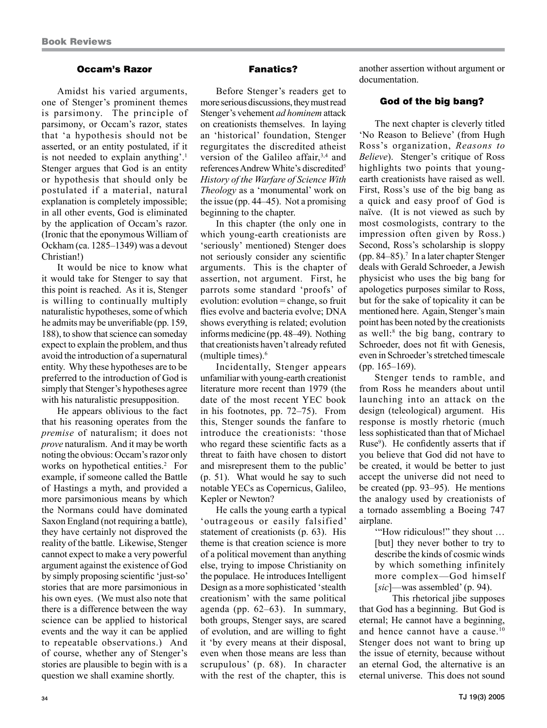#### Occam's Razor

Amidst his varied arguments, one of Stenger's prominent themes is parsimony. The principle of parsimony, or Occam's razor, states that 'a hypothesis should not be asserted, or an entity postulated, if it is not needed to explain anything'.1 Stenger argues that God is an entity or hypothesis that should only be postulated if a material, natural explanation is completely impossible; in all other events, God is eliminated by the application of Occam's razor. (Ironic that the eponymous William of Ockham (ca. 1285–1349) was a devout Christian!)

It would be nice to know what it would take for Stenger to say that this point is reached. As it is, Stenger is willing to continually multiply naturalistic hypotheses, some of which he admits may be unverifiable (pp. 159, 188), to show that science can someday expect to explain the problem, and thus avoid the introduction of a supernatural entity. Why these hypotheses are to be preferred to the introduction of God is simply that Stenger's hypotheses agree with his naturalistic presupposition.

He appears oblivious to the fact that his reasoning operates from the *premise* of naturalism; it does not *prove* naturalism. And it may be worth noting the obvious: Occam's razor only works on hypothetical entities.<sup>2</sup> For example, if someone called the Battle of Hastings a myth, and provided a more parsimonious means by which the Normans could have dominated Saxon England (not requiring a battle), they have certainly not disproved the reality of the battle. Likewise, Stenger cannot expect to make a very powerful argument against the existence of God by simply proposing scientific 'just-so' stories that are more parsimonious in his own eyes. (We must also note that there is a difference between the way science can be applied to historical events and the way it can be applied to repeatable observations.) And of course, whether any of Stenger's stories are plausible to begin with is a question we shall examine shortly.

#### Fanatics?

Before Stenger's readers get to more serious discussions, they must read Stenger's vehement *ad hominem* attack on creationists themselves. In laying an 'historical' foundation, Stenger regurgitates the discredited atheist version of the Galileo affair,3,4 and references Andrew White's discredited5 *History of the Warfare of Science With Theology* as a 'monumental' work on the issue (pp. 44–45). Not a promising beginning to the chapter.

In this chapter (the only one in which young-earth creationists are 'seriously' mentioned) Stenger does not seriously consider any scientific arguments. This is the chapter of assertion, not argument. First, he parrots some standard 'proofs' of evolution: evolution = change, so fruit flies evolve and bacteria evolve; DNA shows everything is related; evolution informs medicine (pp. 48–49). Nothing that creationists haven't already refuted (multiple times).6

Incidentally, Stenger appears unfamiliar with young-earth creationist literature more recent than 1979 (the date of the most recent YEC book in his footnotes, pp. 72–75). From this, Stenger sounds the fanfare to introduce the creationists: 'those who regard these scientific facts as a threat to faith have chosen to distort and misrepresent them to the public' (p. 51). What would he say to such notable YECs as Copernicus, Galileo, Kepler or Newton?

He calls the young earth a typical 'outrageous or easily falsified' statement of creationists (p. 63). His theme is that creation science is more of a political movement than anything else, trying to impose Christianity on the populace. He introduces Intelligent Design as a more sophisticated 'stealth creationism' with the same political agenda (pp. 62–63). In summary, both groups, Stenger says, are scared of evolution, and are willing to fight it 'by every means at their disposal, even when those means are less than scrupulous' (p. 68). In character with the rest of the chapter, this is

another assertion without argument or documentation.

#### God of the big bang?

The next chapter is cleverly titled 'No Reason to Believe' (from Hugh Ross's organization, *Reasons to Believe*). Stenger's critique of Ross highlights two points that youngearth creationists have raised as well. First, Ross's use of the big bang as a quick and easy proof of God is naïve. (It is not viewed as such by most cosmologists, contrary to the impression often given by Ross.) Second, Ross's scholarship is sloppy (pp. 84–85).7 In a later chapter Stenger deals with Gerald Schroeder, a Jewish physicist who uses the big bang for apologetics purposes similar to Ross, but for the sake of topicality it can be mentioned here. Again, Stenger's main point has been noted by the creationists as well:<sup>8</sup> the big bang, contrary to Schroeder, does not fit with Genesis, even in Schroeder's stretched timescale (pp. 165–169).

Stenger tends to ramble, and from Ross he meanders about until launching into an attack on the design (teleological) argument. His response is mostly rhetoric (much less sophisticated than that of Michael Ruse<sup>9</sup>). He confidently asserts that if you believe that God did not have to be created, it would be better to just accept the universe did not need to be created (pp. 93–95). He mentions the analogy used by creationists of a tornado assembling a Boeing 747 airplane.

'"How ridiculous!" they shout … [but] they never bother to try to describe the kinds of cosmic winds by which something infinitely more complex—God himself [*sic*]—was assembled' (p. 94).

This rhetorical jibe supposes that God has a beginning. But God is eternal; He cannot have a beginning, and hence cannot have a cause.10 Stenger does not want to bring up the issue of eternity, because without an eternal God, the alternative is an eternal universe. This does not sound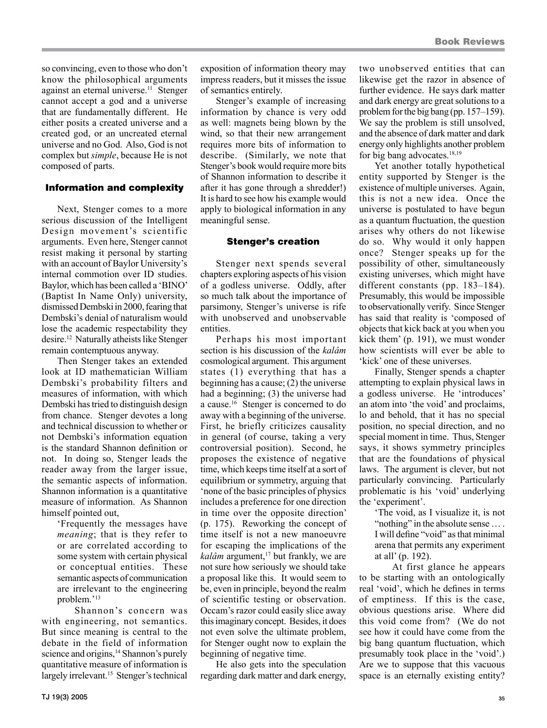so convincing, even to those who don't know the philosophical arguments against an eternal universe.<sup>11</sup> Stenger cannot accept a god and a universe that are fundamentally different. He either posits a created universe and a created god, or an uncreated eternal universe and no God. Also, God is not complex but *simple*, because He is not composed of parts.

#### Information and complexity

Next, Stenger comes to a more serious discussion of the Intelligent Design movement's scientific arguments. Even here, Stenger cannot resist making it personal by starting with an account of Baylor University's internal commotion over ID studies. Baylor, which has been called a 'BINO' (Baptist In Name Only) university, dismissed Dembski in 2000, fearing that Dembski's denial of naturalism would lose the academic respectability they desire.12 Naturally atheists like Stenger remain contemptuous anyway.

Then Stenger takes an extended look at ID mathematician William Dembski's probability filters and measures of information, with which Dembski has tried to distinguish design from chance. Stenger devotes a long and technical discussion to whether or not Dembski's information equation is the standard Shannon definition or not. In doing so, Stenger leads the reader away from the larger issue, the semantic aspects of information. Shannon information is a quantitative measure of information. As Shannon himself pointed out,

'Frequently the messages have *meaning*; that is they refer to or are correlated according to some system with certain physical or conceptual entities. These semantic aspects of communication are irrelevant to the engineering problem.'13

Shannon's concern was with engineering, not semantics. But since meaning is central to the debate in the field of information science and origins,<sup>14</sup> Shannon's purely quantitative measure of information is largely irrelevant.<sup>15</sup> Stenger's technical

exposition of information theory may impress readers, but it misses the issue of semantics entirely.

Stenger's example of increasing information by chance is very odd as well: magnets being blown by the wind, so that their new arrangement requires more bits of information to describe. (Similarly, we note that Stenger's book would require more bits of Shannon information to describe it after it has gone through a shredder!) It is hard to see how his example would apply to biological information in any meaningful sense.

#### Stenger's creation

Stenger next spends several chapters exploring aspects of his vision of a godless universe. Oddly, after so much talk about the importance of parsimony, Stenger's universe is rife with unobserved and unobservable entities.

Perhaps his most important section is his discussion of the *kalâm* cosmological argument. This argument states (1) everything that has a beginning has a cause; (2) the universe had a beginning; (3) the universe had a cause.16 Stenger is concerned to do away with a beginning of the universe. First, he briefly criticizes causality in general (of course, taking a very controversial position). Second, he proposes the existence of negative time, which keeps time itself at a sort of equilibrium or symmetry, arguing that 'none of the basic principles of physics includes a preference for one direction in time over the opposite direction' (p. 175). Reworking the concept of time itself is not a new manoeuvre for escaping the implications of the *kalâm* argument,<sup>17</sup> but frankly, we are not sure how seriously we should take a proposal like this. It would seem to be, even in principle, beyond the realm of scientific testing or observation. Occam's razor could easily slice away this imaginary concept. Besides, it does not even solve the ultimate problem, for Stenger ought now to explain the beginning of negative time.

He also gets into the speculation regarding dark matter and dark energy, two unobserved entities that can likewise get the razor in absence of further evidence. He says dark matter and dark energy are great solutions to a problem for the big bang (pp. 157–159). We say the problem is still unsolved, and the absence of dark matter and dark energy only highlights another problem for big bang advocates.18,19

Yet another totally hypothetical entity supported by Stenger is the existence of multiple universes. Again, this is not a new idea. Once the universe is postulated to have begun as a quantum fluctuation, the question arises why others do not likewise do so. Why would it only happen once? Stenger speaks up for the possibility of other, simultaneously existing universes, which might have different constants (pp. 183–184). Presumably, this would be impossible to observationally verify. Since Stenger has said that reality is 'composed of objects that kick back at you when you kick them' (p. 191), we must wonder how scientists will ever be able to 'kick' one of these universes.

Finally, Stenger spends a chapter attempting to explain physical laws in a godless universe. He 'introduces' an atom into 'the void' and proclaims, lo and behold, that it has no special position, no special direction, and no special moment in time. Thus, Stenger says, it shows symmetry principles that are the foundations of physical laws. The argument is clever, but not particularly convincing. Particularly problematic is his 'void' underlying the 'experiment'.

'The void, as I visualize it, is not "nothing" in the absolute sense ... I will define "void" as that minimal arena that permits any experiment at all' (p. 192).

At first glance he appears to be starting with an ontologically real 'void', which he defines in terms of emptiness. If this is the case, obvious questions arise. Where did this void come from? (We do not see how it could have come from the big bang quantum fluctuation, which presumably took place in the 'void'.) Are we to suppose that this vacuous space is an eternally existing entity?